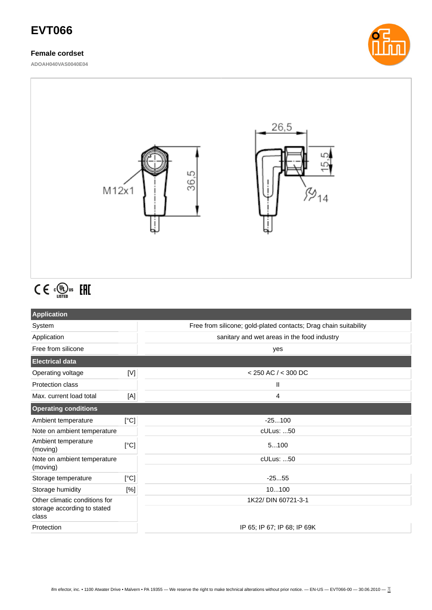# **EVT066**

## **Female cordset**

**ADOAH040VAS0040E04**





# $C \in \mathbb{C}^{\text{op}}_{\text{Listen}}$  EHI

| <b>Application</b>                                                    |             |                                                                  |
|-----------------------------------------------------------------------|-------------|------------------------------------------------------------------|
| System                                                                |             | Free from silicone; gold-plated contacts; Drag chain suitability |
| Application                                                           |             | sanitary and wet areas in the food industry                      |
| Free from silicone                                                    |             | yes                                                              |
| <b>Electrical data</b>                                                |             |                                                                  |
| Operating voltage                                                     | $\mathbb N$ | $<$ 250 AC $/$ < 300 DC                                          |
| Protection class                                                      |             | Ш                                                                |
| Max. current load total                                               | [A]         | 4                                                                |
| <b>Operating conditions</b>                                           |             |                                                                  |
| Ambient temperature                                                   | [°C]        | $-25100$                                                         |
| Note on ambient temperature                                           |             | cULus: 50                                                        |
| Ambient temperature<br>(moving)                                       | [°C]        | 5100                                                             |
| Note on ambient temperature                                           |             | cULus: 50                                                        |
| (moving)                                                              |             |                                                                  |
| Storage temperature                                                   | [°C]        | $-2555$                                                          |
| Storage humidity                                                      | [%]         | 10100                                                            |
| Other climatic conditions for<br>storage according to stated<br>class |             | 1K22/ DIN 60721-3-1                                              |
|                                                                       |             |                                                                  |
| Protection                                                            |             | IP 65; IP 67; IP 68; IP 69K                                      |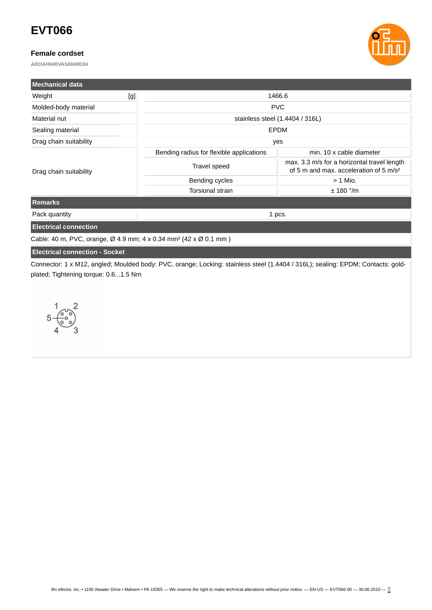# **EVT066**

#### **Female cordset**

**ADOAH040VAS0040E04**



| <b>Mechanical data</b>       |                                          |                                                                                                   |  |
|------------------------------|------------------------------------------|---------------------------------------------------------------------------------------------------|--|
| [g]<br>Weight                | 1466.6                                   |                                                                                                   |  |
| Molded-body material         | <b>PVC</b>                               |                                                                                                   |  |
| Material nut                 | stainless steel (1.4404 / 316L)          |                                                                                                   |  |
| Sealing material             | <b>EPDM</b>                              |                                                                                                   |  |
| Drag chain suitability       | yes                                      |                                                                                                   |  |
|                              | Bending radius for flexible applications | min. 10 x cable diameter                                                                          |  |
| Drag chain suitability       | Travel speed                             | max. 3.3 m/s for a horizontal travel length<br>of 5 m and max, acceleration of 5 m/s <sup>2</sup> |  |
|                              | Bending cycles                           | $> 1$ Mio.                                                                                        |  |
|                              | <b>Torsional strain</b>                  | $± 180$ °/m                                                                                       |  |
| <b>Remarks</b>               |                                          |                                                                                                   |  |
| Pack quantity                | 1 pcs.                                   |                                                                                                   |  |
| <b>Electrical connection</b> |                                          |                                                                                                   |  |

Cable: 40 m, PVC, orange, Ø 4.9 mm; 4 x 0.34 mm² (42 x Ø 0.1 mm )

## **Electrical connection - Socket**

Connector: 1 x M12, angled; Moulded body: PVC, orange; Locking: stainless steel (1.4404 / 316L); sealing: EPDM; Contacts: goldplated; Tightening torque: 0.6...1.5 Nm